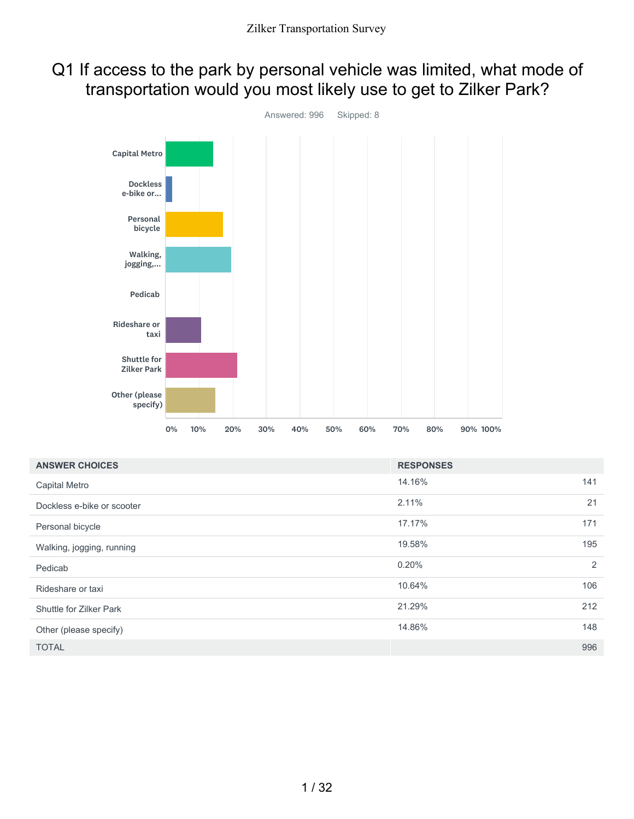### Q1 If access to the park by personal vehicle was limited, what mode of transportation would you most likely use to get to Zilker Park?



| <b>ANSWER CHOICES</b>      | <b>RESPONSES</b> |     |
|----------------------------|------------------|-----|
| Capital Metro              | 14.16%           | 141 |
| Dockless e-bike or scooter | 2.11%            | 21  |
| Personal bicycle           | 17.17%           | 171 |
| Walking, jogging, running  | 19.58%           | 195 |
| Pedicab                    | 0.20%            | 2   |
| Rideshare or taxi          | 10.64%           | 106 |
| Shuttle for Zilker Park    | 21.29%           | 212 |
| Other (please specify)     | 14.86%           | 148 |
| <b>TOTAL</b>               |                  | 996 |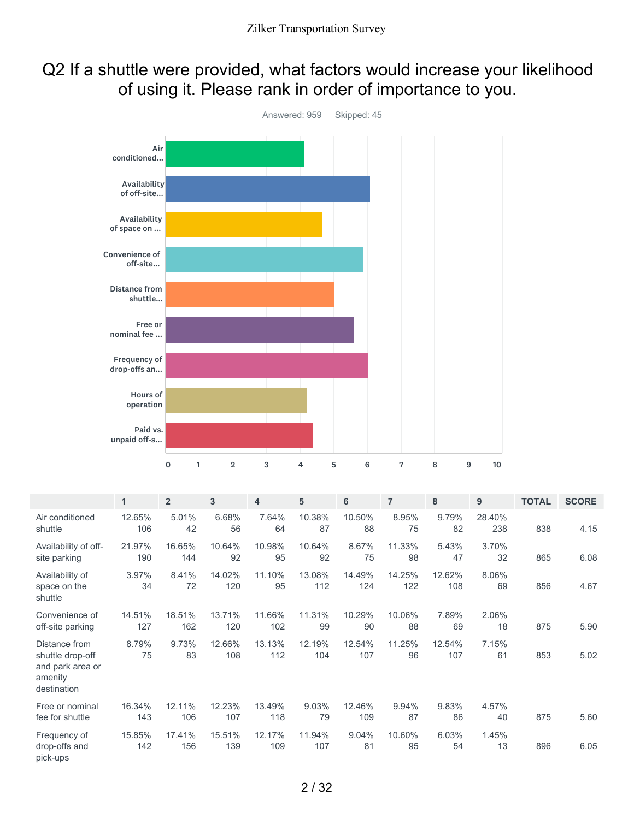### Q2 If a shuttle were provided, what factors would increase your likelihood of using it. Please rank in order of importance to you.



|                                                                                 | 1             | $\overline{2}$ | 3             | $\overline{\mathbf{4}}$ | 5             | 6             | $\overline{7}$ | 8             | 9             | <b>TOTAL</b> | <b>SCORE</b> |
|---------------------------------------------------------------------------------|---------------|----------------|---------------|-------------------------|---------------|---------------|----------------|---------------|---------------|--------------|--------------|
| Air conditioned<br>shuttle                                                      | 12.65%<br>106 | 5.01%<br>42    | 6.68%<br>56   | 7.64%<br>64             | 10.38%<br>87  | 10.50%<br>88  | 8.95%<br>75    | 9.79%<br>82   | 28.40%<br>238 | 838          | 4.15         |
| Availability of off-<br>site parking                                            | 21.97%<br>190 | 16.65%<br>144  | 10.64%<br>92  | 10.98%<br>95            | 10.64%<br>92  | 8.67%<br>75   | 11.33%<br>98   | 5.43%<br>47   | 3.70%<br>32   | 865          | 6.08         |
| Availability of<br>space on the<br>shuttle                                      | 3.97%<br>34   | 8.41%<br>72    | 14.02%<br>120 | 11.10%<br>95            | 13.08%<br>112 | 14.49%<br>124 | 14.25%<br>122  | 12.62%<br>108 | 8.06%<br>69   | 856          | 4.67         |
| Convenience of<br>off-site parking                                              | 14.51%<br>127 | 18.51%<br>162  | 13.71%<br>120 | 11.66%<br>102           | 11.31%<br>99  | 10.29%<br>90  | 10.06%<br>88   | 7.89%<br>69   | 2.06%<br>18   | 875          | 5.90         |
| Distance from<br>shuttle drop-off<br>and park area or<br>amenity<br>destination | 8.79%<br>75   | 9.73%<br>83    | 12.66%<br>108 | 13.13%<br>112           | 12.19%<br>104 | 12.54%<br>107 | 11.25%<br>96   | 12.54%<br>107 | 7.15%<br>61   | 853          | 5.02         |
| Free or nominal<br>fee for shuttle                                              | 16.34%<br>143 | 12.11%<br>106  | 12.23%<br>107 | 13.49%<br>118           | 9.03%<br>79   | 12.46%<br>109 | 9.94%<br>87    | 9.83%<br>86   | 4.57%<br>40   | 875          | 5.60         |
| Frequency of<br>drop-offs and<br>pick-ups                                       | 15.85%<br>142 | 17.41%<br>156  | 15.51%<br>139 | 12.17%<br>109           | 11.94%<br>107 | 9.04%<br>81   | 10.60%<br>95   | 6.03%<br>54   | 1.45%<br>13   | 896          | 6.05         |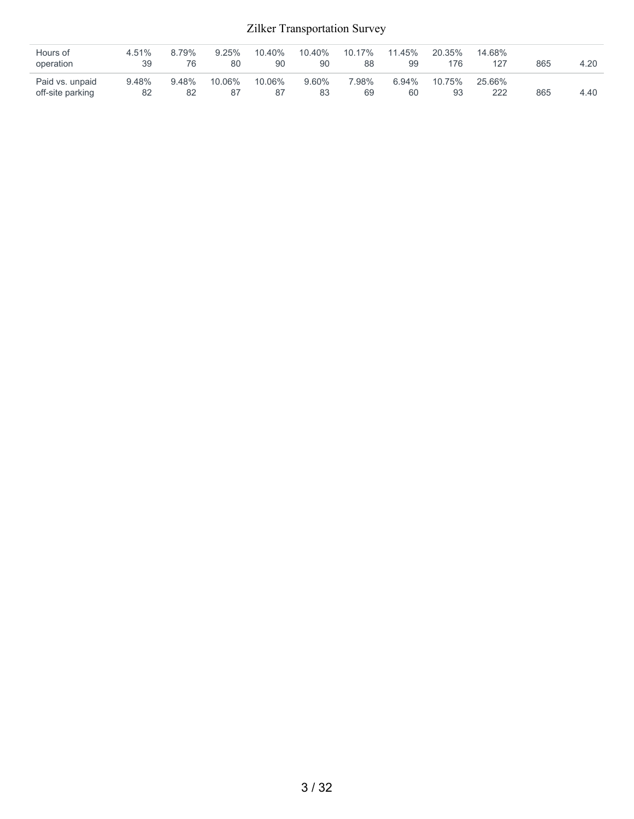| Hours of<br>operation               | 4.51%<br>39 | 8.79%<br>76 | 9.25%<br>80  | 10.40%<br>90 | 10.40%<br>90 | $10.17\%$<br>88 | 11.45%<br>99 | 20.35%<br>176 | 14.68%<br>127 | 865 | 4.20 |
|-------------------------------------|-------------|-------------|--------------|--------------|--------------|-----------------|--------------|---------------|---------------|-----|------|
| Paid vs. unpaid<br>off-site parking | 9.48%<br>82 | 9.48%<br>82 | 10.06%<br>87 | 10.06%<br>87 | 9.60%<br>83  | 7.98%<br>69     | 6.94%<br>60  | 10.75%<br>93  | 25.66%<br>222 | 865 | 4.40 |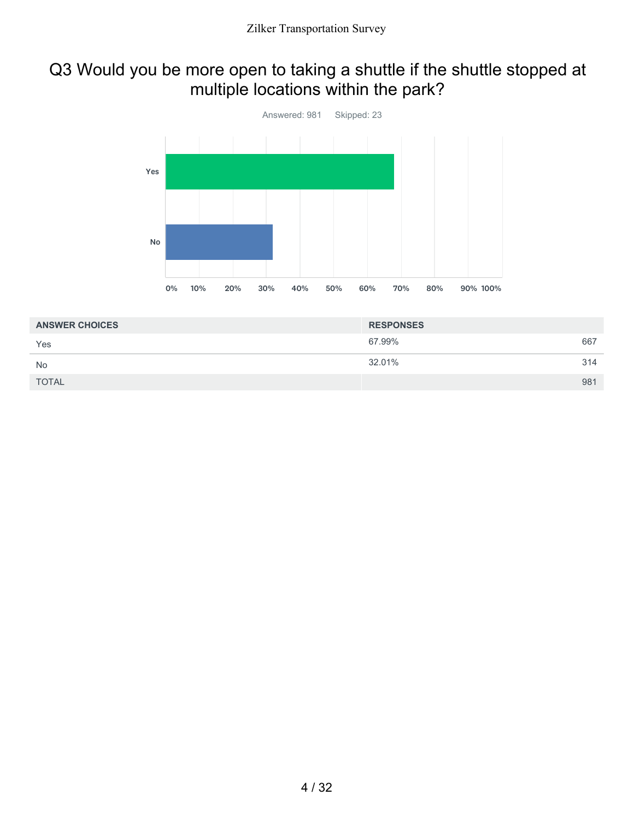## Q3 Would you be more open to taking a shuttle if the shuttle stopped at multiple locations within the park?



| <b>ANSWER CHOICES</b> | <b>RESPONSES</b> |     |
|-----------------------|------------------|-----|
| Yes                   | 67.99%           | 667 |
| <b>No</b>             | 32.01%           | 314 |
| <b>TOTAL</b>          |                  | 981 |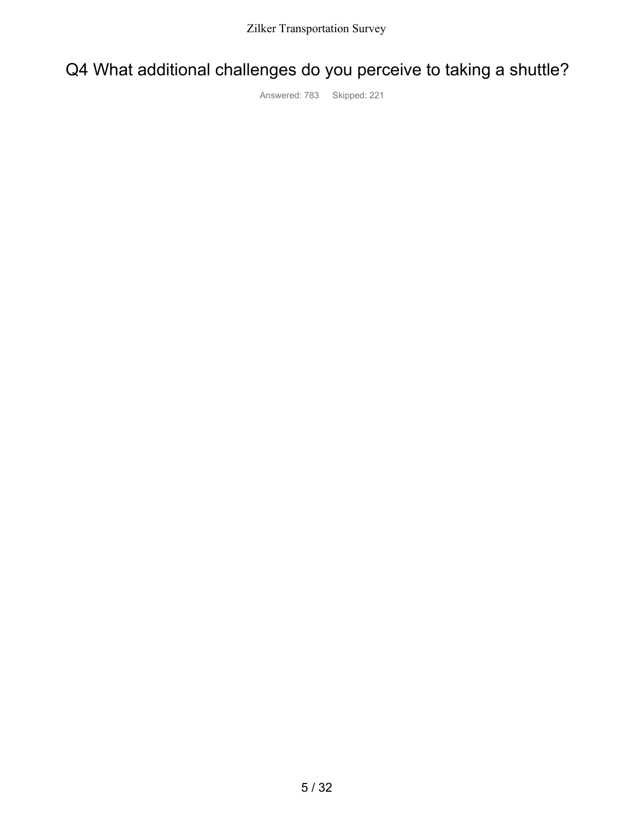## Q4 What additional challenges do you perceive to taking a shuttle?

Answered: 783 Skipped: 221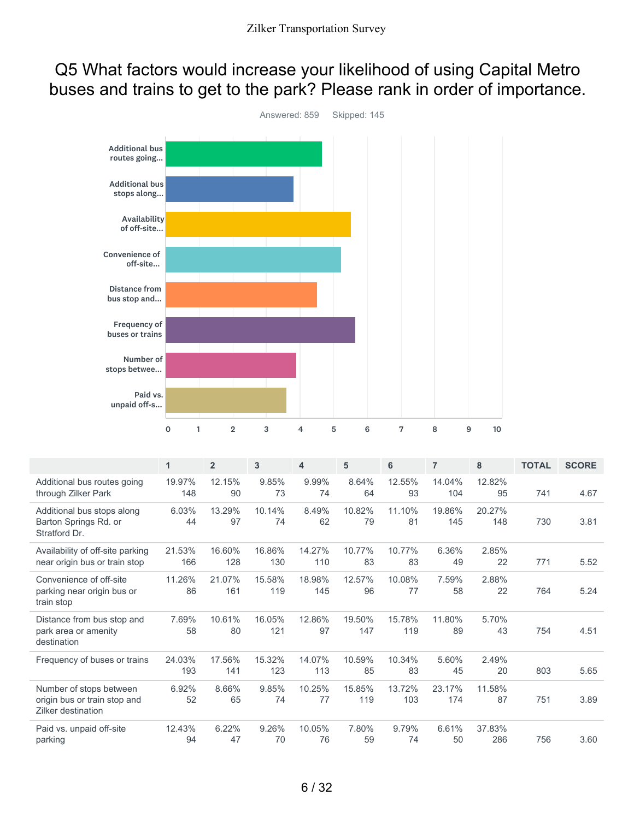### Q5 What factors would increase your likelihood of using Capital Metro buses and trains to get to the park? Please rank in order of importance.



|                                                                               | $\mathbf{1}$  | $\overline{2}$ | 3             | 4             | 5             | 6             | $\overline{7}$ | 8             | <b>TOTAL</b> | <b>SCORE</b> |
|-------------------------------------------------------------------------------|---------------|----------------|---------------|---------------|---------------|---------------|----------------|---------------|--------------|--------------|
| Additional bus routes going<br>through Zilker Park                            | 19.97%<br>148 | 12.15%<br>90   | 9.85%<br>73   | 9.99%<br>74   | 8.64%<br>64   | 12.55%<br>93  | 14.04%<br>104  | 12.82%<br>95  | 741          | 4.67         |
| Additional bus stops along<br>Barton Springs Rd. or<br>Stratford Dr.          | 6.03%<br>44   | 13.29%<br>97   | 10.14%<br>74  | 8.49%<br>62   | 10.82%<br>79  | 11.10%<br>81  | 19.86%<br>145  | 20.27%<br>148 | 730          | 3.81         |
| Availability of off-site parking<br>near origin bus or train stop             | 21.53%<br>166 | 16.60%<br>128  | 16.86%<br>130 | 14.27%<br>110 | 10.77%<br>83  | 10.77%<br>83  | 6.36%<br>49    | 2.85%<br>22   | 771          | 5.52         |
| Convenience of off-site<br>parking near origin bus or<br>train stop           | 11.26%<br>86  | 21.07%<br>161  | 15.58%<br>119 | 18.98%<br>145 | 12.57%<br>96  | 10.08%<br>77  | 7.59%<br>58    | 2.88%<br>22   | 764          | 5.24         |
| Distance from bus stop and<br>park area or amenity<br>destination             | 7.69%<br>58   | 10.61%<br>80   | 16.05%<br>121 | 12.86%<br>97  | 19.50%<br>147 | 15.78%<br>119 | 11.80%<br>89   | 5.70%<br>43   | 754          | 4.51         |
| Frequency of buses or trains                                                  | 24.03%<br>193 | 17.56%<br>141  | 15.32%<br>123 | 14.07%<br>113 | 10.59%<br>85  | 10.34%<br>83  | 5.60%<br>45    | 2.49%<br>20   | 803          | 5.65         |
| Number of stops between<br>origin bus or train stop and<br>Zilker destination | 6.92%<br>52   | 8.66%<br>65    | 9.85%<br>74   | 10.25%<br>77  | 15.85%<br>119 | 13.72%<br>103 | 23.17%<br>174  | 11.58%<br>87  | 751          | 3.89         |
| Paid vs. unpaid off-site<br>parking                                           | 12.43%<br>94  | 6.22%<br>47    | 9.26%<br>70   | 10.05%<br>76  | 7.80%<br>59   | 9.79%<br>74   | 6.61%<br>50    | 37.83%<br>286 | 756          | 3.60         |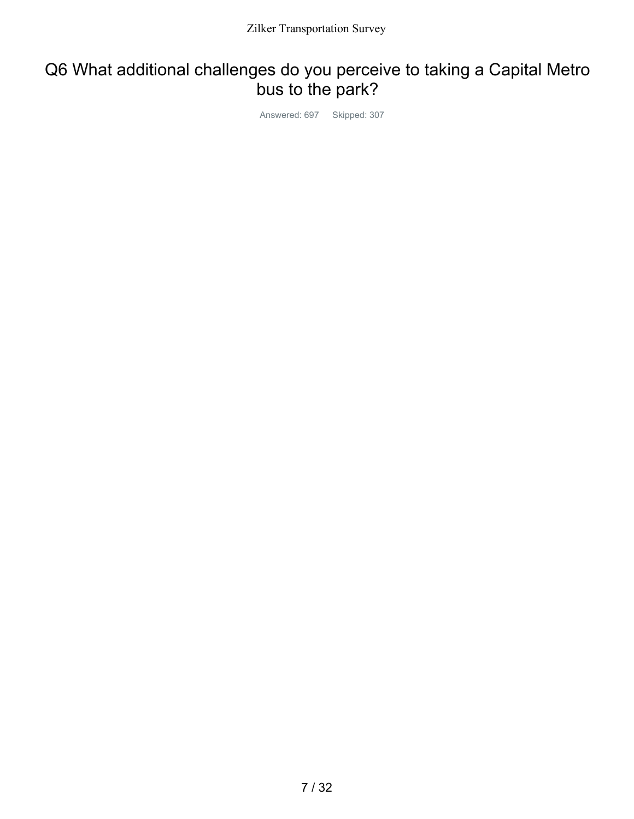# Q6 What additional challenges do you perceive to taking a Capital Metro bus to the park?

Answered: 697 Skipped: 307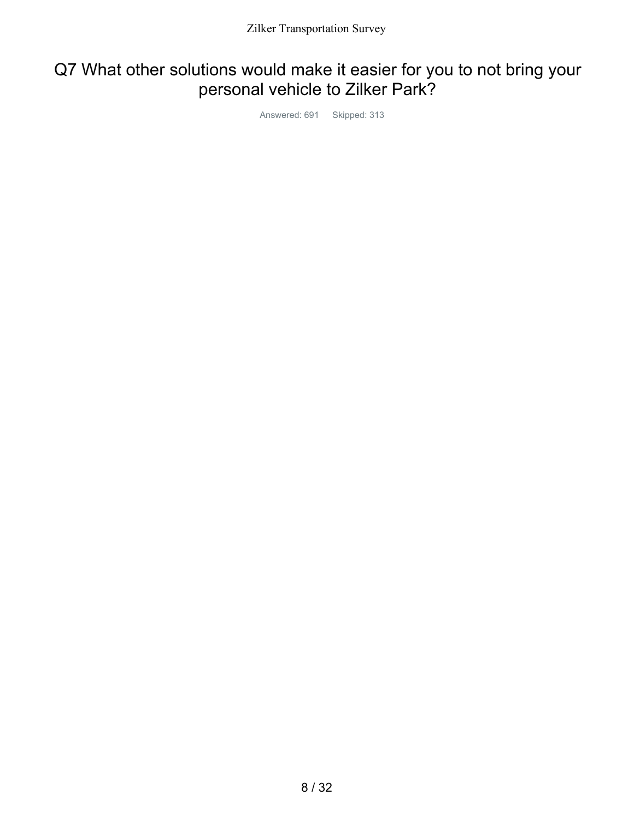## Q7 What other solutions would make it easier for you to not bring your personal vehicle to Zilker Park?

Answered: 691 Skipped: 313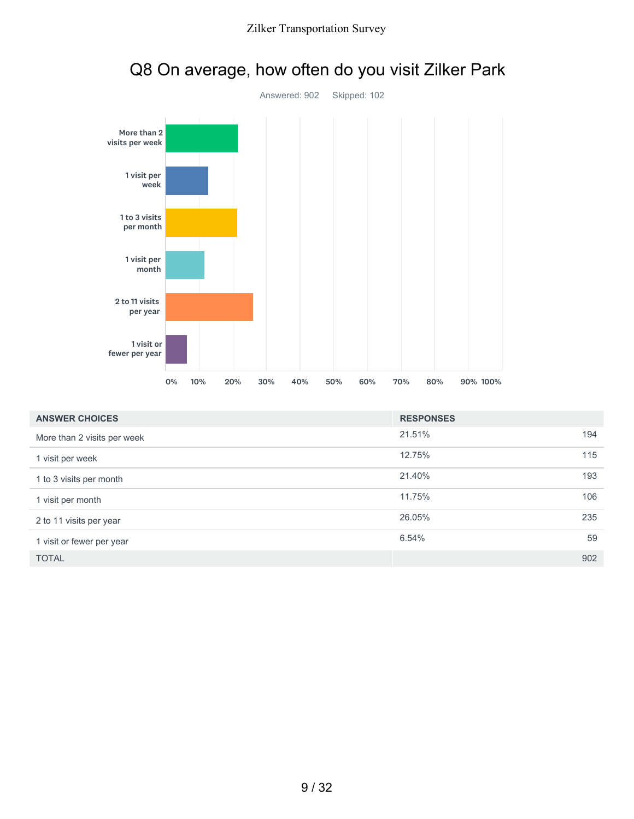



# Q8 On average, how often do you visit Zilker Park

| <b>ANSWER CHOICES</b>       | <b>RESPONSES</b> |     |
|-----------------------------|------------------|-----|
| More than 2 visits per week | 21.51%           | 194 |
| 1 visit per week            | 12.75%           | 115 |
| 1 to 3 visits per month     | 21.40%           | 193 |
| 1 visit per month           | 11.75%           | 106 |
| 2 to 11 visits per year     | 26.05%           | 235 |
| 1 visit or fewer per year   | 6.54%            | 59  |
| <b>TOTAL</b>                |                  | 902 |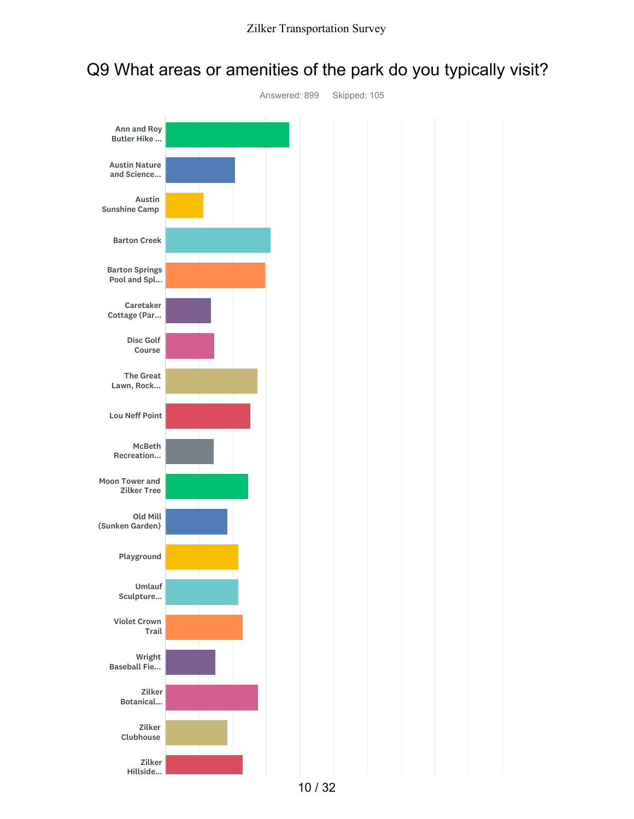

### Q9 What areas or amenities of the park do you typically visit?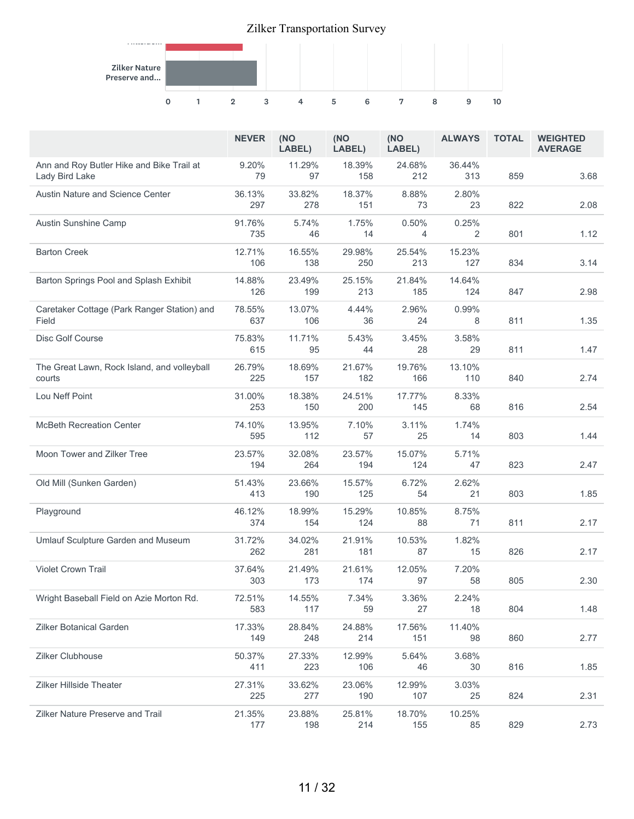

|                                                             | <b>NEVER</b>  | (NO<br>LABEL) | (NO<br>LABEL) | (NO<br>LABEL) | <b>ALWAYS</b> | <b>TOTAL</b> | <b>WEIGHTED</b><br><b>AVERAGE</b> |
|-------------------------------------------------------------|---------------|---------------|---------------|---------------|---------------|--------------|-----------------------------------|
| Ann and Roy Butler Hike and Bike Trail at<br>Lady Bird Lake | 9.20%<br>79   | 11.29%<br>97  | 18.39%<br>158 | 24.68%<br>212 | 36.44%<br>313 | 859          | 3.68                              |
| Austin Nature and Science Center                            | 36.13%<br>297 | 33.82%<br>278 | 18.37%<br>151 | 8.88%<br>73   | 2.80%<br>23   | 822          | 2.08                              |
| Austin Sunshine Camp                                        | 91.76%<br>735 | 5.74%<br>46   | 1.75%<br>14   | 0.50%<br>4    | 0.25%<br>2    | 801          | 1.12                              |
| <b>Barton Creek</b>                                         | 12.71%<br>106 | 16.55%<br>138 | 29.98%<br>250 | 25.54%<br>213 | 15.23%<br>127 | 834          | 3.14                              |
| Barton Springs Pool and Splash Exhibit                      | 14.88%<br>126 | 23.49%<br>199 | 25.15%<br>213 | 21.84%<br>185 | 14.64%<br>124 | 847          | 2.98                              |
| Caretaker Cottage (Park Ranger Station) and<br>Field        | 78.55%<br>637 | 13.07%<br>106 | 4.44%<br>36   | 2.96%<br>24   | 0.99%<br>8    | 811          | 1.35                              |
| Disc Golf Course                                            | 75.83%<br>615 | 11.71%<br>95  | 5.43%<br>44   | 3.45%<br>28   | 3.58%<br>29   | 811          | 1.47                              |
| The Great Lawn, Rock Island, and volleyball<br>courts       | 26.79%<br>225 | 18.69%<br>157 | 21.67%<br>182 | 19.76%<br>166 | 13.10%<br>110 | 840          | 2.74                              |
| Lou Neff Point                                              | 31.00%<br>253 | 18.38%<br>150 | 24.51%<br>200 | 17.77%<br>145 | 8.33%<br>68   | 816          | 2.54                              |
| <b>McBeth Recreation Center</b>                             | 74.10%<br>595 | 13.95%<br>112 | 7.10%<br>57   | 3.11%<br>25   | 1.74%<br>14   | 803          | 1.44                              |
| Moon Tower and Zilker Tree                                  | 23.57%<br>194 | 32.08%<br>264 | 23.57%<br>194 | 15.07%<br>124 | 5.71%<br>47   | 823          | 2.47                              |
| Old Mill (Sunken Garden)                                    | 51.43%<br>413 | 23.66%<br>190 | 15.57%<br>125 | 6.72%<br>54   | 2.62%<br>21   | 803          | 1.85                              |
| Playground                                                  | 46.12%<br>374 | 18.99%<br>154 | 15.29%<br>124 | 10.85%<br>88  | 8.75%<br>71   | 811          | 2.17                              |
| Umlauf Sculpture Garden and Museum                          | 31.72%<br>262 | 34.02%<br>281 | 21.91%<br>181 | 10.53%<br>87  | 1.82%<br>15   | 826          | 2.17                              |
| <b>Violet Crown Trail</b>                                   | 37.64%<br>303 | 21.49%<br>173 | 21.61%<br>174 | 12.05%<br>97  | 7.20%<br>58   | 805          | 2.30                              |
| Wright Baseball Field on Azie Morton Rd.                    | 72.51%<br>583 | 14.55%<br>117 | 7.34%<br>59   | 3.36%<br>27   | 2.24%<br>18   | 804          | 1.48                              |
| Zilker Botanical Garden                                     | 17.33%<br>149 | 28.84%<br>248 | 24.88%<br>214 | 17.56%<br>151 | 11.40%<br>98  | 860          | 2.77                              |
| Zilker Clubhouse                                            | 50.37%<br>411 | 27.33%<br>223 | 12.99%<br>106 | 5.64%<br>46   | 3.68%<br>30   | 816          | 1.85                              |
| <b>Zilker Hillside Theater</b>                              | 27.31%<br>225 | 33.62%<br>277 | 23.06%<br>190 | 12.99%<br>107 | 3.03%<br>25   | 824          | 2.31                              |
| <b>Zilker Nature Preserve and Trail</b>                     | 21.35%<br>177 | 23.88%<br>198 | 25.81%<br>214 | 18.70%<br>155 | 10.25%<br>85  | 829          | 2.73                              |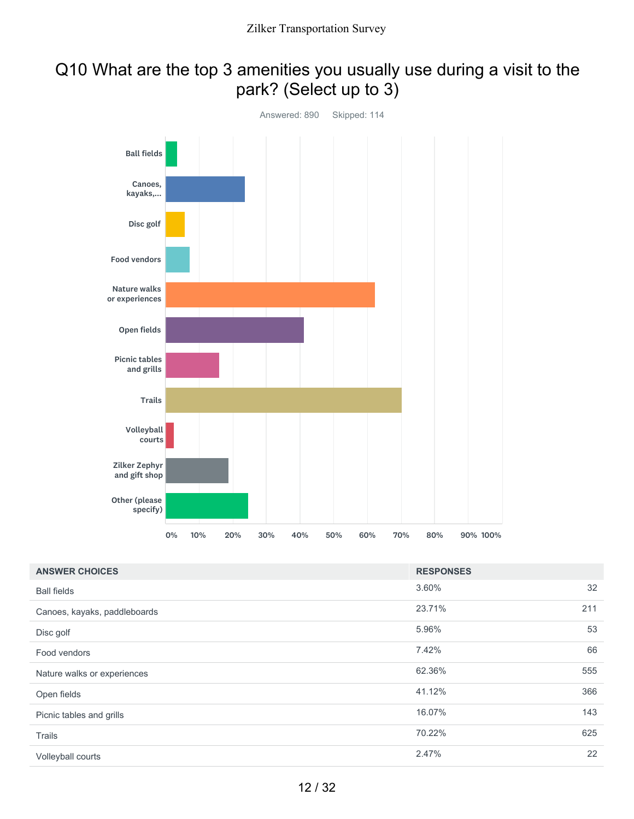## Q10 What are the top 3 amenities you usually use during a visit to the park? (Select up to 3)



| <b>ANSWER CHOICES</b>        | <b>RESPONSES</b> |     |
|------------------------------|------------------|-----|
| <b>Ball fields</b>           | 3.60%            | 32  |
| Canoes, kayaks, paddleboards | 23.71%           | 211 |
| Disc golf                    | 5.96%            | 53  |
| Food vendors                 | 7.42%            | 66  |
| Nature walks or experiences  | 62.36%           | 555 |
| Open fields                  | 41.12%           | 366 |
| Picnic tables and grills     | 16.07%           | 143 |
| Trails                       | 70.22%           | 625 |
| Volleyball courts            | 2.47%            | 22  |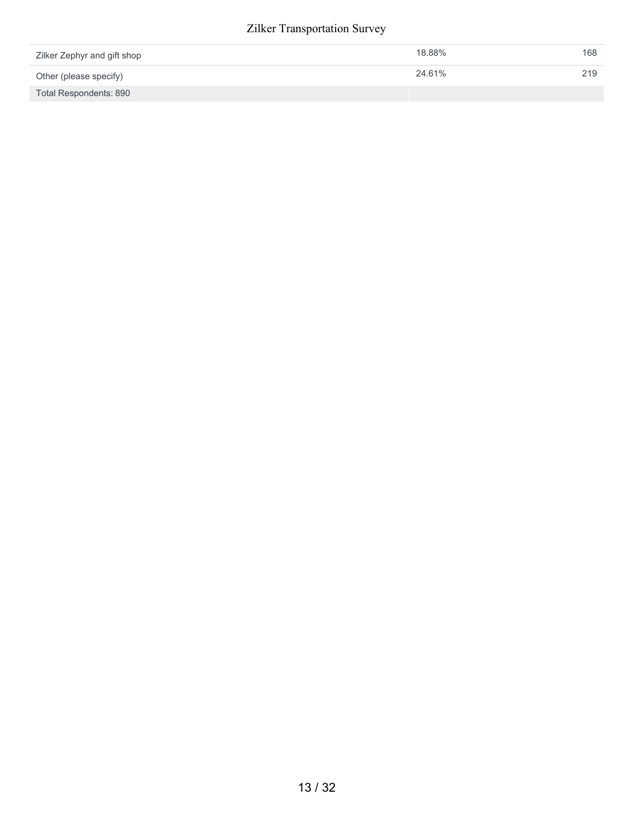| Zilker Zephyr and gift shop | 18.88% | 168 |
|-----------------------------|--------|-----|
| Other (please specify)      | 24.61% | 219 |
| Total Respondents: 890      |        |     |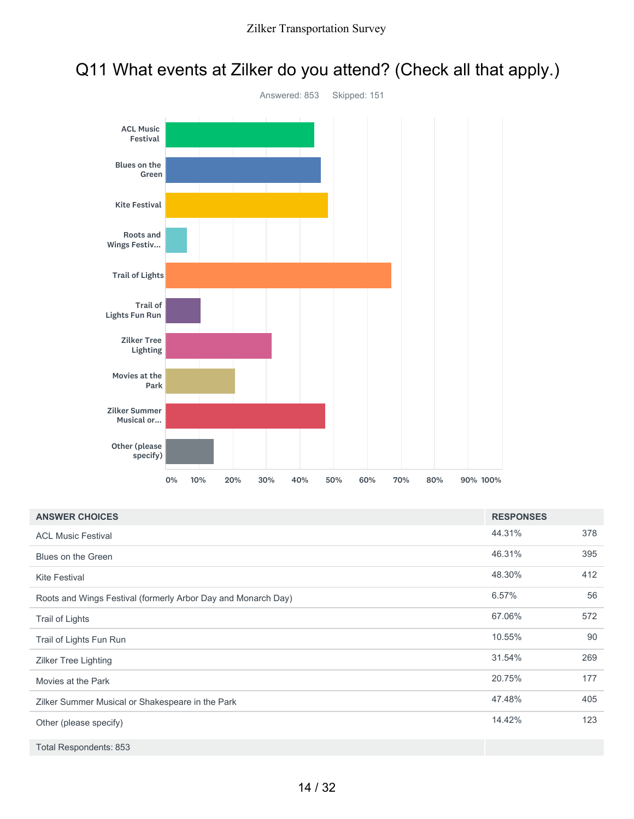### Q11 What events at Zilker do you attend? (Check all that apply.)



| <b>ANSWER CHOICES</b>                                         | <b>RESPONSES</b> |     |
|---------------------------------------------------------------|------------------|-----|
| <b>ACL Music Festival</b>                                     | 44.31%           | 378 |
| Blues on the Green                                            | 46.31%           | 395 |
| <b>Kite Festival</b>                                          | 48.30%           | 412 |
| Roots and Wings Festival (formerly Arbor Day and Monarch Day) | 6.57%            | 56  |
| Trail of Lights                                               | 67.06%           | 572 |
| Trail of Lights Fun Run                                       | 10.55%           | 90  |
| Zilker Tree Lighting                                          | 31.54%           | 269 |
| Movies at the Park                                            | 20.75%           | 177 |
| Zilker Summer Musical or Shakespeare in the Park              | 47.48%           | 405 |
| Other (please specify)                                        | 14.42%           | 123 |
| Total Respondents: 853                                        |                  |     |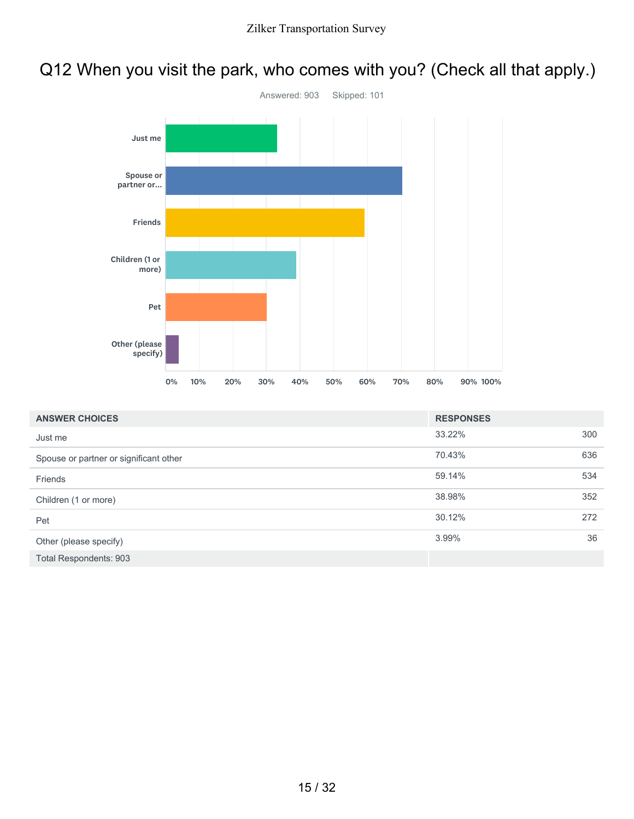## Q12 When you visit the park, who comes with you? (Check all that apply.)



| <b>ANSWER CHOICES</b>                  | <b>RESPONSES</b> |     |
|----------------------------------------|------------------|-----|
| Just me                                | 33.22%           | 300 |
| Spouse or partner or significant other | 70.43%           | 636 |
| Friends                                | 59.14%           | 534 |
| Children (1 or more)                   | 38.98%           | 352 |
| Pet                                    | 30.12%           | 272 |
| Other (please specify)                 | 3.99%            | 36  |
| <b>Total Respondents: 903</b>          |                  |     |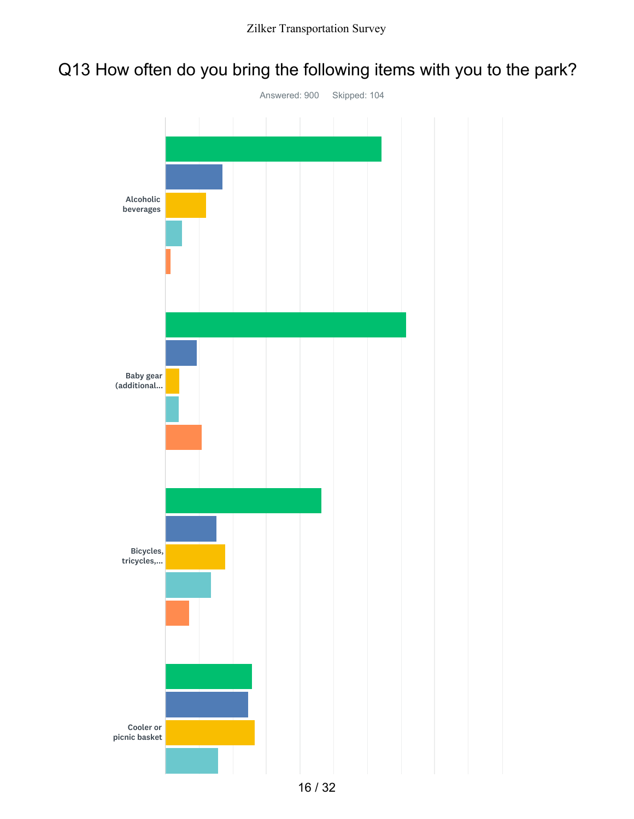## Q13 How often do you bring the following items with you to the park?

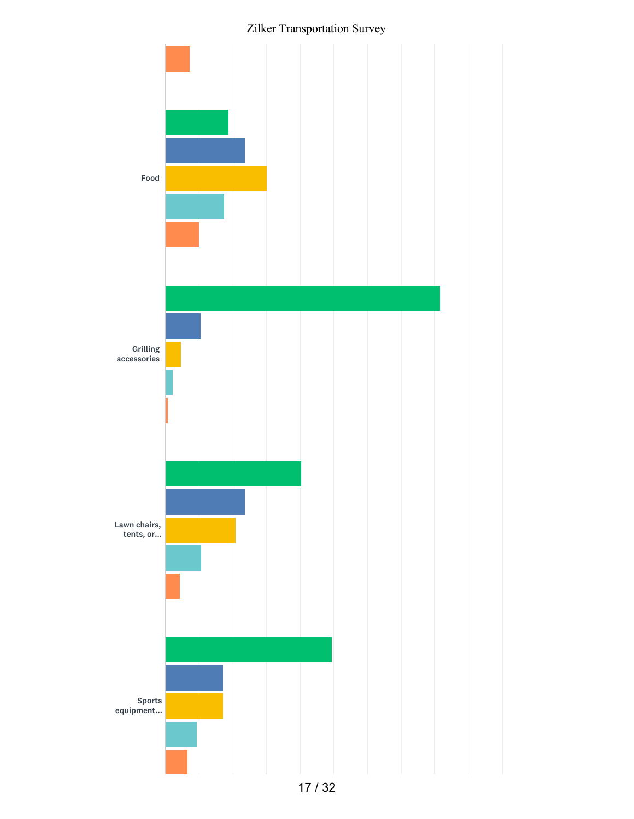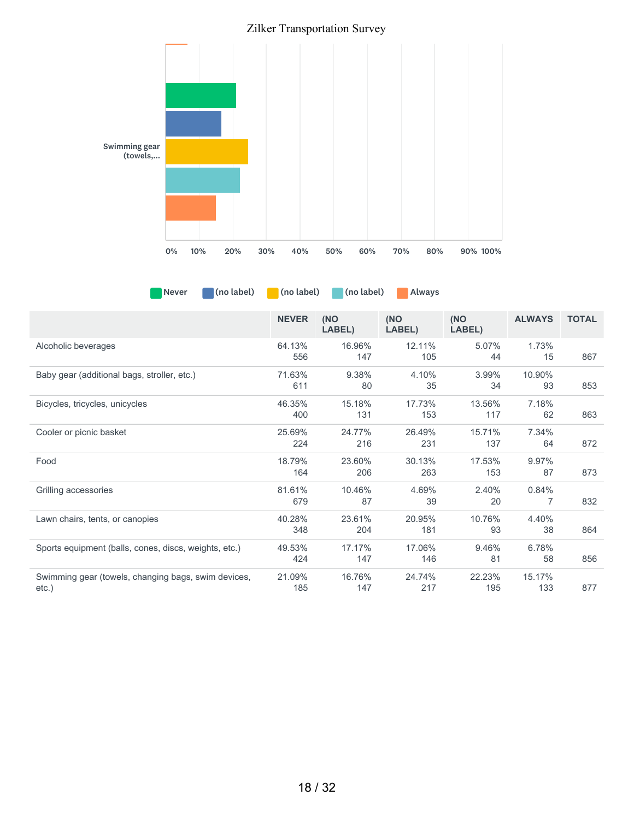

Never (no label) (no label) (no label) Always

|                                                       | <b>NEVER</b> | (NO    | (NO    | (NO    | <b>ALWAYS</b> | <b>TOTAL</b> |
|-------------------------------------------------------|--------------|--------|--------|--------|---------------|--------------|
|                                                       |              | LABEL) | LABEL) | LABEL) |               |              |
| Alcoholic beverages                                   | 64.13%       | 16.96% | 12.11% | 5.07%  | 1.73%         |              |
|                                                       | 556          | 147    | 105    | 44     | 15            | 867          |
| Baby gear (additional bags, stroller, etc.)           | 71.63%       | 9.38%  | 4.10%  | 3.99%  | 10.90%        |              |
|                                                       | 611          | 80     | 35     | 34     | 93            | 853          |
| Bicycles, tricycles, unicycles                        | 46.35%       | 15.18% | 17.73% | 13.56% | 7.18%         |              |
|                                                       | 400          | 131    | 153    | 117    | 62            | 863          |
| Cooler or picnic basket                               | 25.69%       | 24.77% | 26.49% | 15.71% | 7.34%         |              |
|                                                       | 224          | 216    | 231    | 137    | 64            | 872          |
| Food                                                  | 18.79%       | 23.60% | 30.13% | 17.53% | 9.97%         |              |
|                                                       | 164          | 206    | 263    | 153    | 87            | 873          |
| Grilling accessories                                  | 81.61%       | 10.46% | 4.69%  | 2.40%  | 0.84%         |              |
|                                                       | 679          | 87     | 39     | 20     | 7             | 832          |
| Lawn chairs, tents, or canopies                       | 40.28%       | 23.61% | 20.95% | 10.76% | 4.40%         |              |
|                                                       | 348          | 204    | 181    | 93     | 38            | 864          |
| Sports equipment (balls, cones, discs, weights, etc.) | 49.53%       | 17.17% | 17.06% | 9.46%  | 6.78%         |              |
|                                                       | 424          | 147    | 146    | 81     | 58            | 856          |
| Swimming gear (towels, changing bags, swim devices,   | 21.09%       | 16.76% | 24.74% | 22.23% | 15.17%        |              |
| $etc.$ )                                              | 185          | 147    | 217    | 195    | 133           | 877          |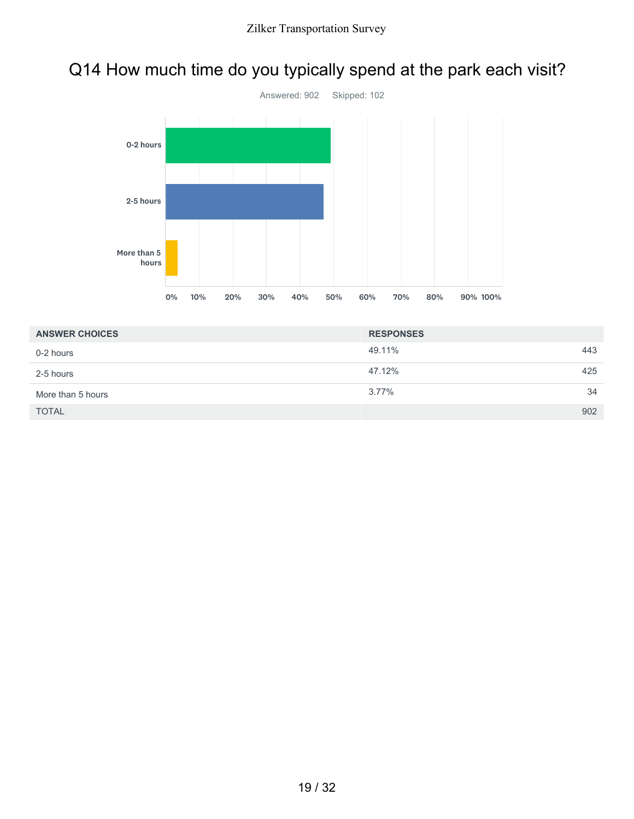# Q14 How much time do you typically spend at the park each visit?



| <b>ANSWER CHOICES</b> | <b>RESPONSES</b> |     |
|-----------------------|------------------|-----|
| 0-2 hours             | 49.11%           | 443 |
| 2-5 hours             | 47.12%           | 425 |
| More than 5 hours     | $3.77\%$         | 34  |
| <b>TOTAL</b>          |                  | 902 |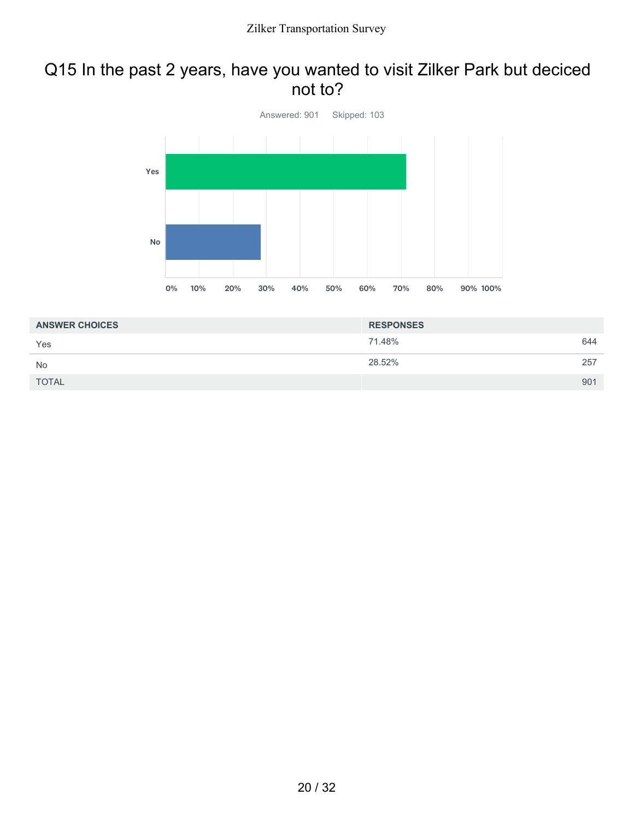### Q15 In the past 2 years, have you wanted to visit Zilker Park but deciced not to?



| <b>ANSWER CHOICES</b> | <b>RESPONSES</b> |     |
|-----------------------|------------------|-----|
| Yes                   | 71.48%           | 644 |
| <b>No</b>             | 28.52%           | 257 |
| <b>TOTAL</b>          |                  | 901 |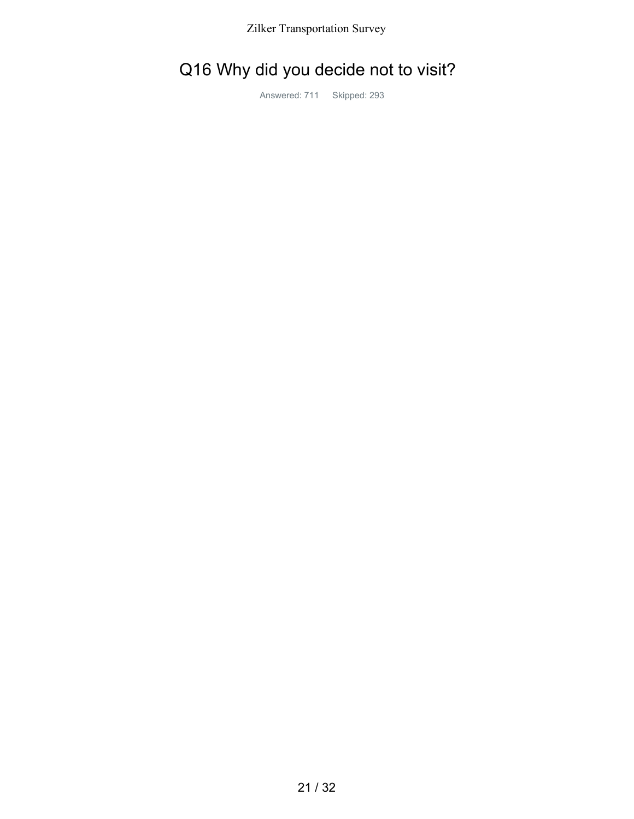# Q16 Why did you decide not to visit?

Answered: 711 Skipped: 293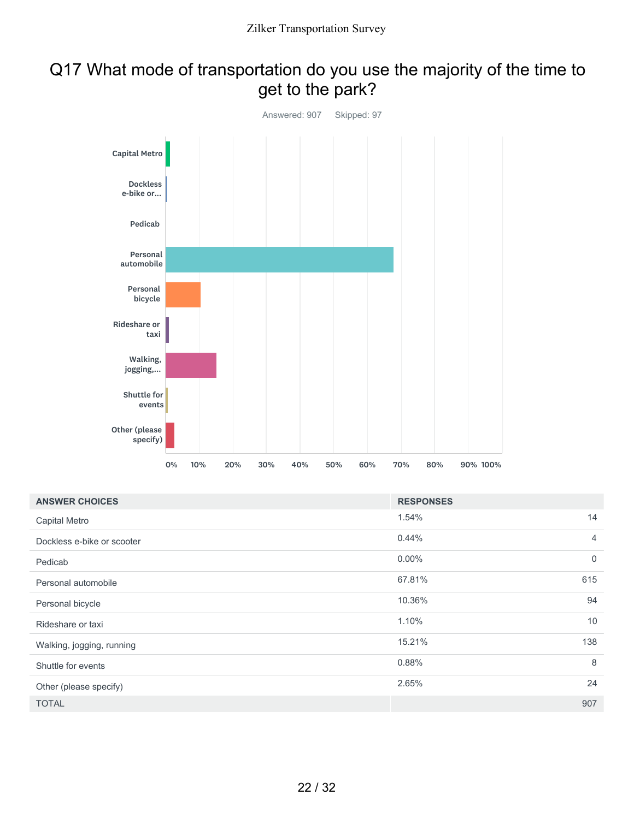### Q17 What mode of transportation do you use the majority of the time to get to the park?



| <b>ANSWER CHOICES</b>      | <b>RESPONSES</b> |                |
|----------------------------|------------------|----------------|
| Capital Metro              | 1.54%            | 14             |
| Dockless e-bike or scooter | 0.44%            | $\overline{4}$ |
| Pedicab                    | $0.00\%$         | $\mathbf 0$    |
| Personal automobile        | 67.81%           | 615            |
| Personal bicycle           | 10.36%           | 94             |
| Rideshare or taxi          | 1.10%            | 10             |
| Walking, jogging, running  | 15.21%           | 138            |
| Shuttle for events         | 0.88%            | 8              |
| Other (please specify)     | 2.65%            | 24             |
| <b>TOTAL</b>               |                  | 907            |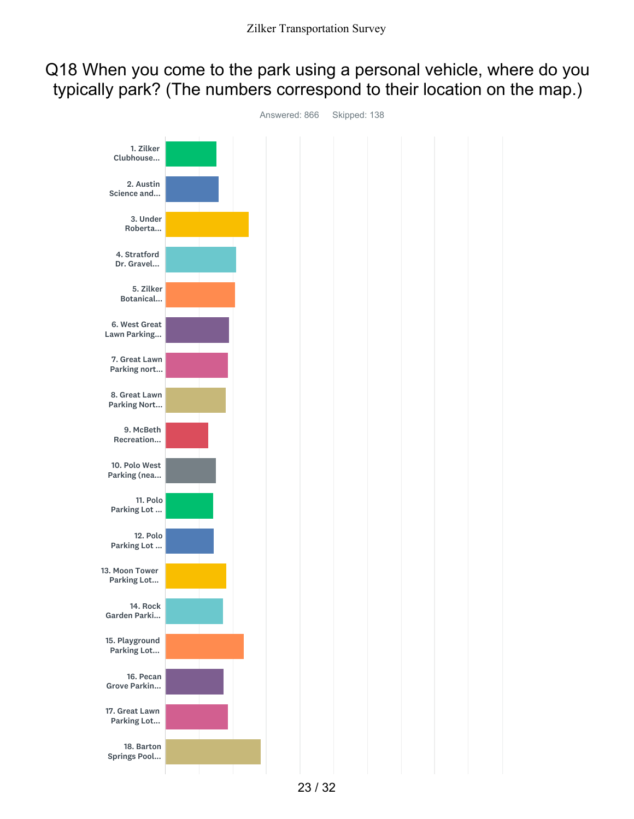### Q18 When you come to the park using a personal vehicle, where do you typically park? (The numbers correspond to their location on the map.)

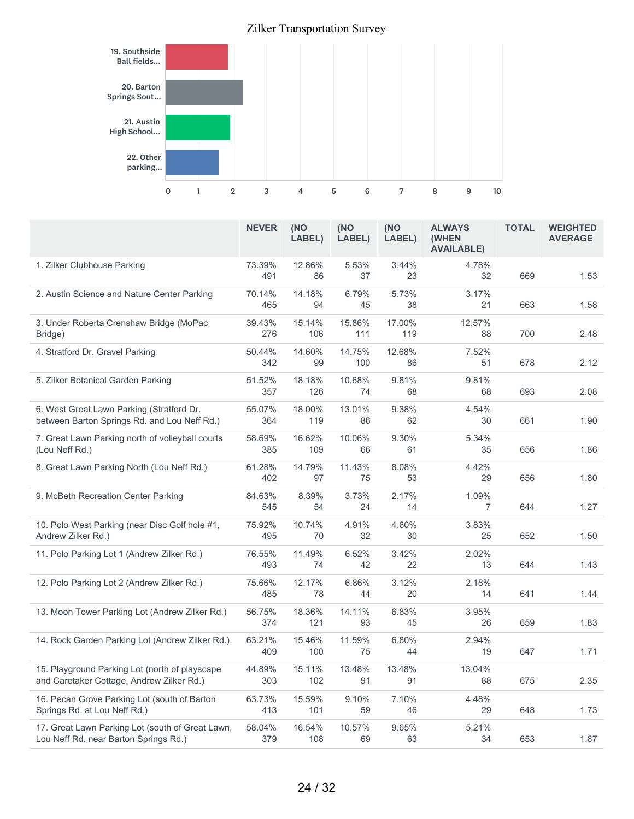

|                                                                                             | <b>NEVER</b>  | (NO<br>LABEL) | (NO<br>LABEL) | (NO<br>LABEL) | <b>ALWAYS</b><br><b>(WHEN</b><br><b>AVAILABLE)</b> | <b>TOTAL</b> | <b>WEIGHTED</b><br><b>AVERAGE</b> |
|---------------------------------------------------------------------------------------------|---------------|---------------|---------------|---------------|----------------------------------------------------|--------------|-----------------------------------|
| 1. Zilker Clubhouse Parking                                                                 | 73.39%<br>491 | 12.86%<br>86  | 5.53%<br>37   | 3.44%<br>23   | 4.78%<br>32                                        | 669          | 1.53                              |
| 2. Austin Science and Nature Center Parking                                                 | 70.14%<br>465 | 14.18%<br>94  | 6.79%<br>45   | 5.73%<br>38   | 3.17%<br>21                                        | 663          | 1.58                              |
| 3. Under Roberta Crenshaw Bridge (MoPac<br>Bridge)                                          | 39.43%<br>276 | 15.14%<br>106 | 15.86%<br>111 | 17.00%<br>119 | 12.57%<br>88                                       | 700          | 2.48                              |
| 4. Stratford Dr. Gravel Parking                                                             | 50.44%<br>342 | 14.60%<br>99  | 14.75%<br>100 | 12.68%<br>86  | 7.52%<br>51                                        | 678          | 2.12                              |
| 5. Zilker Botanical Garden Parking                                                          | 51.52%<br>357 | 18.18%<br>126 | 10.68%<br>74  | 9.81%<br>68   | 9.81%<br>68                                        | 693          | 2.08                              |
| 6. West Great Lawn Parking (Stratford Dr.<br>between Barton Springs Rd. and Lou Neff Rd.)   | 55.07%<br>364 | 18.00%<br>119 | 13.01%<br>86  | 9.38%<br>62   | 4.54%<br>30                                        | 661          | 1.90                              |
| 7. Great Lawn Parking north of volleyball courts<br>(Lou Neff Rd.)                          | 58.69%<br>385 | 16.62%<br>109 | 10.06%<br>66  | 9.30%<br>61   | 5.34%<br>35                                        | 656          | 1.86                              |
| 8. Great Lawn Parking North (Lou Neff Rd.)                                                  | 61.28%<br>402 | 14.79%<br>97  | 11.43%<br>75  | 8.08%<br>53   | 4.42%<br>29                                        | 656          | 1.80                              |
| 9. McBeth Recreation Center Parking                                                         | 84.63%<br>545 | 8.39%<br>54   | 3.73%<br>24   | 2.17%<br>14   | 1.09%<br>$\overline{7}$                            | 644          | 1.27                              |
| 10. Polo West Parking (near Disc Golf hole #1,<br>Andrew Zilker Rd.)                        | 75.92%<br>495 | 10.74%<br>70  | 4.91%<br>32   | 4.60%<br>30   | 3.83%<br>25                                        | 652          | 1.50                              |
| 11. Polo Parking Lot 1 (Andrew Zilker Rd.)                                                  | 76.55%<br>493 | 11.49%<br>74  | 6.52%<br>42   | 3.42%<br>22   | 2.02%<br>13                                        | 644          | 1.43                              |
| 12. Polo Parking Lot 2 (Andrew Zilker Rd.)                                                  | 75.66%<br>485 | 12.17%<br>78  | 6.86%<br>44   | 3.12%<br>20   | 2.18%<br>14                                        | 641          | 1.44                              |
| 13. Moon Tower Parking Lot (Andrew Zilker Rd.)                                              | 56.75%<br>374 | 18.36%<br>121 | 14.11%<br>93  | 6.83%<br>45   | 3.95%<br>26                                        | 659          | 1.83                              |
| 14. Rock Garden Parking Lot (Andrew Zilker Rd.)                                             | 63.21%<br>409 | 15.46%<br>100 | 11.59%<br>75  | 6.80%<br>44   | 2.94%<br>19                                        | 647          | 1.71                              |
| 15. Playground Parking Lot (north of playscape<br>and Caretaker Cottage, Andrew Zilker Rd.) | 44.89%<br>303 | 15.11%<br>102 | 13.48%<br>91  | 13.48%<br>91  | 13.04%<br>88                                       | 675          | 2.35                              |
| 16. Pecan Grove Parking Lot (south of Barton<br>Springs Rd. at Lou Neff Rd.)                | 63.73%<br>413 | 15.59%<br>101 | 9.10%<br>59   | 7.10%<br>46   | 4.48%<br>29                                        | 648          | 1.73                              |
| 17. Great Lawn Parking Lot (south of Great Lawn,<br>Lou Neff Rd. near Barton Springs Rd.)   | 58.04%<br>379 | 16.54%<br>108 | 10.57%<br>69  | 9.65%<br>63   | 5.21%<br>34                                        | 653          | 1.87                              |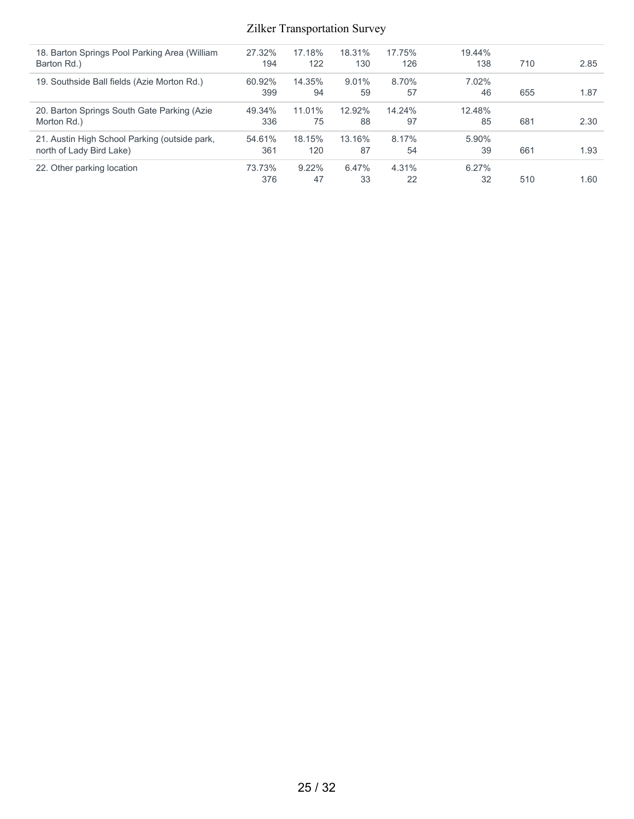| 27.32% | 17.18%   | 18.31%   | 17.75% | 19.44% |     |      |
|--------|----------|----------|--------|--------|-----|------|
| 194    | 122      | 130      | 126    | 138    | 710 | 2.85 |
| 60.92% | 14.35%   | $9.01\%$ | 8.70%  | 7.02%  |     |      |
| 399    | 94       | 59       | 57     | 46     | 655 | 1.87 |
| 49.34% | 11.01%   | 12.92%   | 14.24% | 12.48% |     |      |
| 336    | 75       | 88       | 97     | 85     | 681 | 2.30 |
| 54.61% | 18.15%   | 13.16%   | 8.17%  | 5.90%  |     |      |
| 361    | 120      | 87       | 54     | 39     | 661 | 1.93 |
| 73.73% | $9.22\%$ | 6.47%    | 4.31%  | 6.27%  |     |      |
| 376    | 47       | 33       | 22     | 32     | 510 | 1.60 |
|        |          |          |        |        |     |      |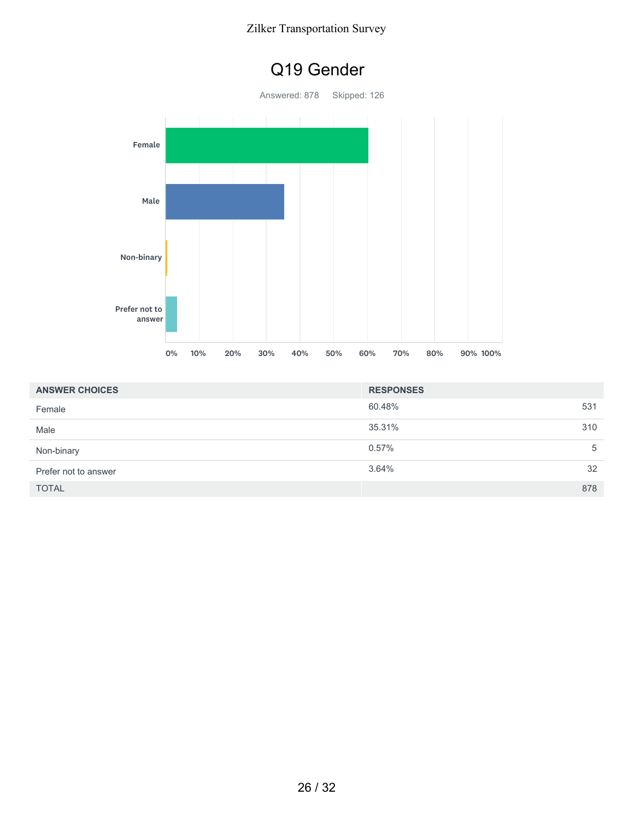

| <b>ANSWER CHOICES</b> | <b>RESPONSES</b> |     |
|-----------------------|------------------|-----|
| Female                | 60.48%           | 531 |
| Male                  | 35.31%           | 310 |
| Non-binary            | 0.57%            | 5   |
| Prefer not to answer  | 3.64%            | 32  |
| <b>TOTAL</b>          |                  | 878 |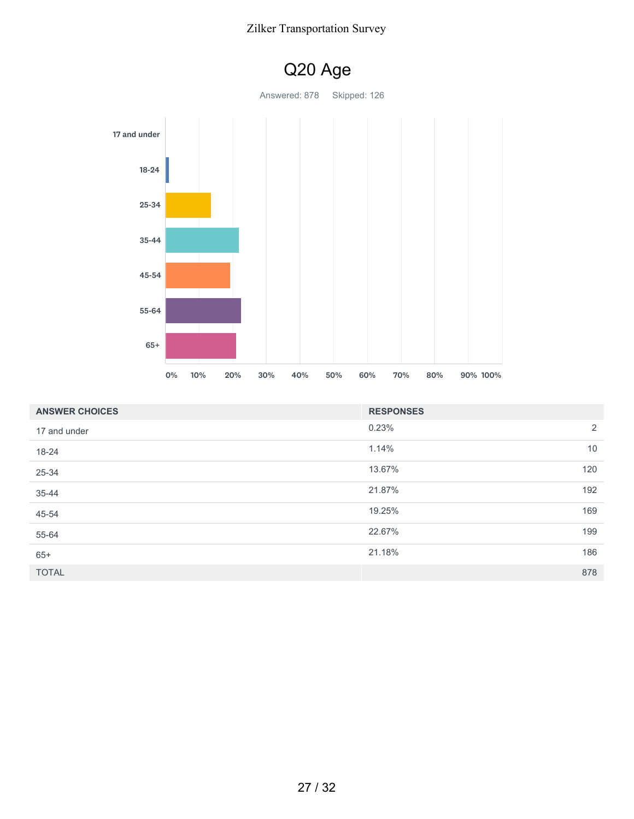

| <b>ANSWER CHOICES</b> | <b>RESPONSES</b> |     |
|-----------------------|------------------|-----|
| 17 and under          | 0.23%            | 2   |
| 18-24                 | 1.14%            | 10  |
| 25-34                 | 13.67%           | 120 |
| 35-44                 | 21.87%           | 192 |
| 45-54                 | 19.25%           | 169 |
| 55-64                 | 22.67%           | 199 |
| $65+$                 | 21.18%           | 186 |
| <b>TOTAL</b>          |                  | 878 |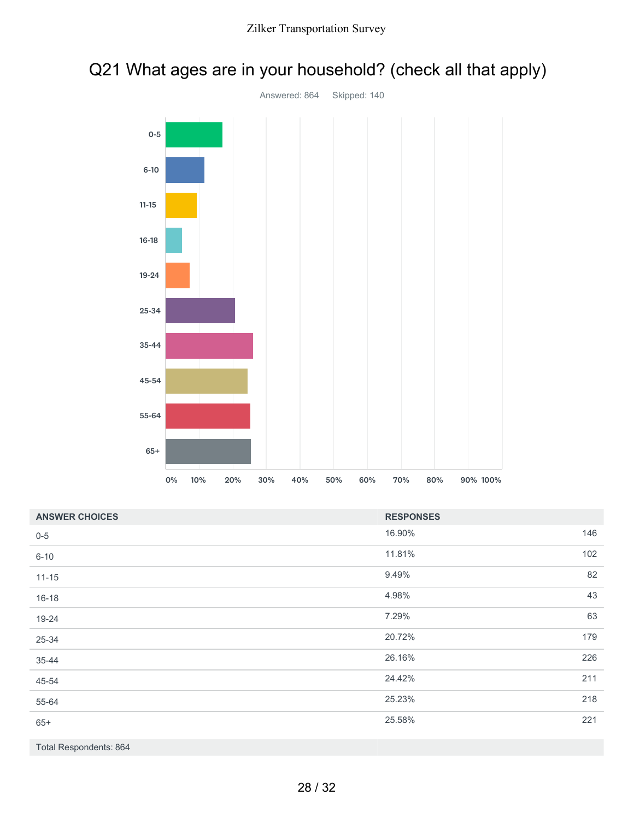# Q21 What ages are in your household? (check all that apply)



| <b>ANSWER CHOICES</b>  | <b>RESPONSES</b> |     |
|------------------------|------------------|-----|
| $0 - 5$                | 16.90%           | 146 |
| $6 - 10$               | 11.81%           | 102 |
| $11 - 15$              | 9.49%            | 82  |
| $16 - 18$              | 4.98%            | 43  |
| 19-24                  | 7.29%            | 63  |
| 25-34                  | 20.72%           | 179 |
| 35-44                  | 26.16%           | 226 |
| 45-54                  | 24.42%           | 211 |
| 55-64                  | 25.23%           | 218 |
| $65+$                  | 25.58%           | 221 |
| Total Respondents: 864 |                  |     |

28 / 32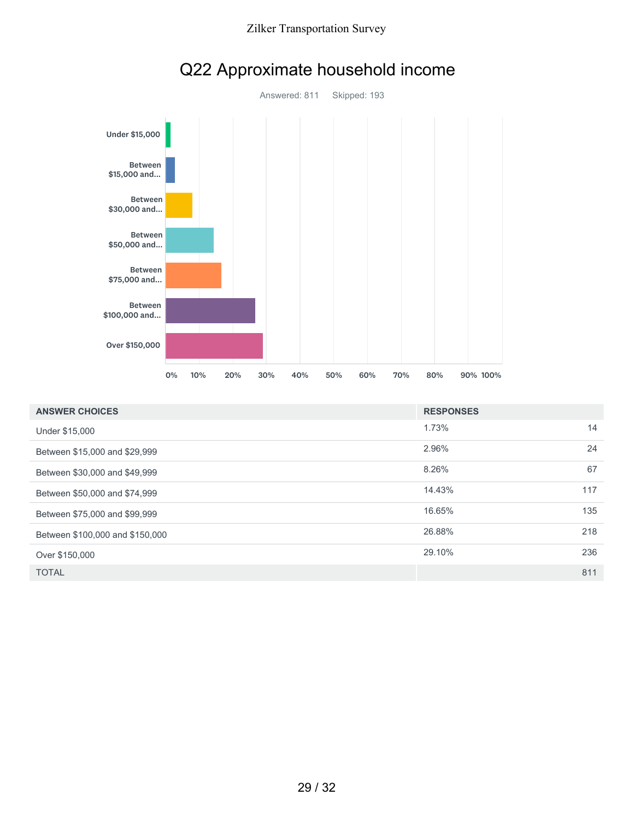



# Q22 Approximate household income

| <b>ANSWER CHOICES</b>           | <b>RESPONSES</b> |     |
|---------------------------------|------------------|-----|
| Under \$15,000                  | 1.73%            | 14  |
| Between \$15,000 and \$29,999   | 2.96%            | 24  |
| Between \$30,000 and \$49,999   | 8.26%            | 67  |
| Between \$50,000 and \$74,999   | 14.43%           | 117 |
| Between \$75,000 and \$99,999   | 16.65%           | 135 |
| Between \$100,000 and \$150,000 | 26.88%           | 218 |
| Over \$150,000                  | 29.10%           | 236 |
| <b>TOTAL</b>                    |                  | 811 |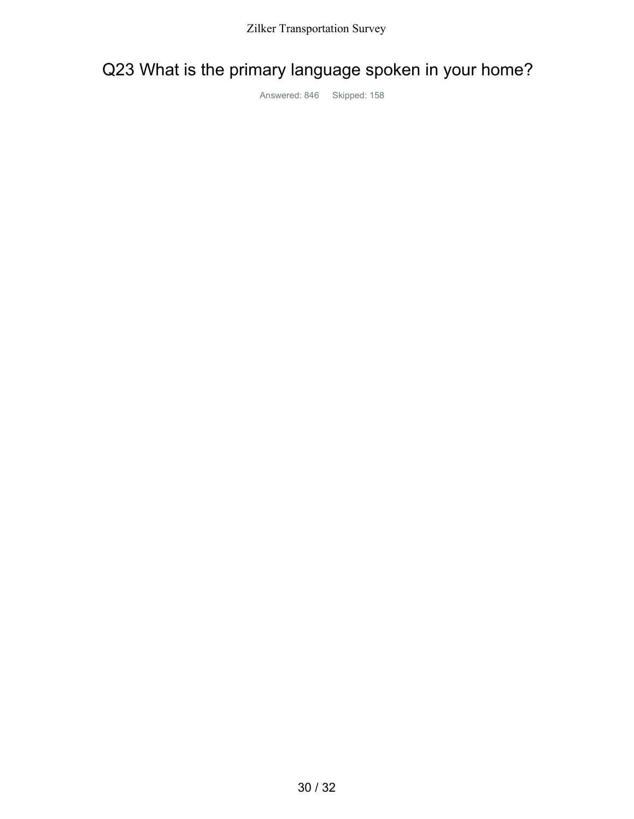# Q23 What is the primary language spoken in your home?

Answered: 846 Skipped: 158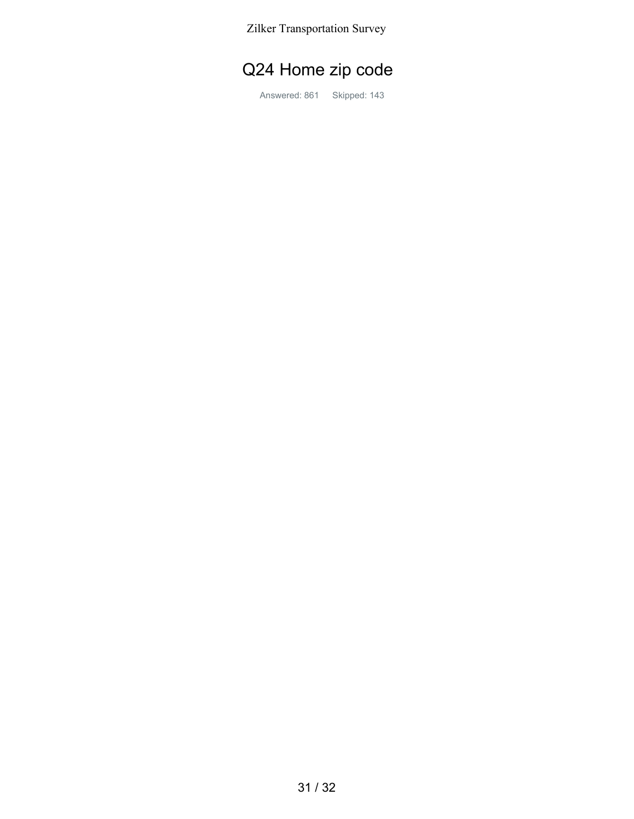# Q24 Home zip code

Answered: 861 Skipped: 143